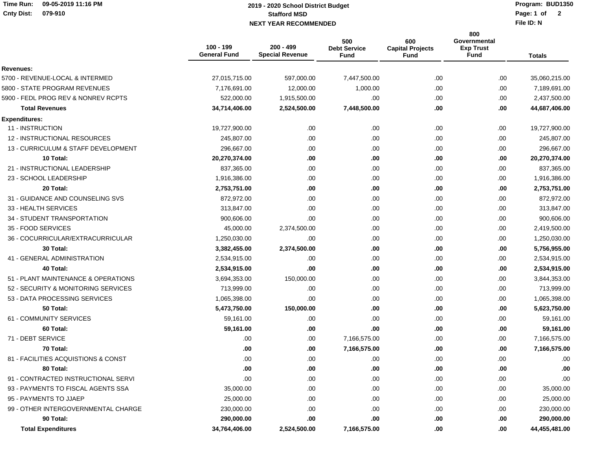## **Time Run: 09-05-2019 11:16 PMCnty Dist: 079-910**

## **Stafford MSD NEXT YEAR RECOMMENDED Page: 1 of 2019 - 2020 School District Budget**

**Program: BUD1350**Page: 1 of 2

**File ID: N**

|                                     | 100 - 199<br><b>General Fund</b> | $200 - 499$<br><b>Special Revenue</b> | 500<br><b>Debt Service</b><br>Fund | 600<br><b>Capital Projects</b><br><b>Fund</b> | 800<br>Governmental<br><b>Exp Trust</b><br><b>Fund</b> | <b>Totals</b> |
|-------------------------------------|----------------------------------|---------------------------------------|------------------------------------|-----------------------------------------------|--------------------------------------------------------|---------------|
| Revenues:                           |                                  |                                       |                                    |                                               |                                                        |               |
| 5700 - REVENUE-LOCAL & INTERMED     | 27,015,715.00                    | 597,000.00                            | 7,447,500.00                       | .00.                                          | .00                                                    | 35,060,215.00 |
| 5800 - STATE PROGRAM REVENUES       | 7,176,691.00                     | 12,000.00                             | 1,000.00                           | .00                                           | .00                                                    | 7,189,691.00  |
| 5900 - FEDL PROG REV & NONREV RCPTS | 522,000.00                       | 1,915,500.00                          | .00                                | .00.                                          | .00                                                    | 2,437,500.00  |
| <b>Total Revenues</b>               | 34,714,406.00                    | 2,524,500.00                          | 7,448,500.00                       | .00.                                          | .00                                                    | 44,687,406.00 |
| <b>Expenditures:</b>                |                                  |                                       |                                    |                                               |                                                        |               |
| 11 - INSTRUCTION                    | 19,727,900.00                    | .00                                   | .00                                | .00.                                          | .00                                                    | 19,727,900.00 |
| 12 - INSTRUCTIONAL RESOURCES        | 245,807.00                       | .00.                                  | .00                                | .00.                                          | .00                                                    | 245,807.00    |
| 13 - CURRICULUM & STAFF DEVELOPMENT | 296,667.00                       | .00                                   | .00                                | .00                                           | .00                                                    | 296,667.00    |
| 10 Total:                           | 20,270,374.00                    | .00                                   | .00                                | .00                                           | .00                                                    | 20,270,374.00 |
| 21 - INSTRUCTIONAL LEADERSHIP       | 837,365.00                       | .00.                                  | .00.                               | .00.                                          | .00                                                    | 837,365.00    |
| 23 - SCHOOL LEADERSHIP              | 1,916,386.00                     | .00                                   | .00                                | .00.                                          | .00                                                    | 1,916,386.00  |
| 20 Total:                           | 2,753,751.00                     | .00                                   | .00                                | .00                                           | .00                                                    | 2,753,751.00  |
| 31 - GUIDANCE AND COUNSELING SVS    | 872,972.00                       | .00                                   | .00                                | .00.                                          | .00                                                    | 872,972.00    |
| 33 - HEALTH SERVICES                | 313,847.00                       | .00                                   | .00                                | .00                                           | .00                                                    | 313,847.00    |
| 34 - STUDENT TRANSPORTATION         | 900,606.00                       | .00                                   | .00                                | .00                                           | .00                                                    | 900,606.00    |
| 35 - FOOD SERVICES                  | 45,000.00                        | 2,374,500.00                          | .00                                | .00.                                          | .00                                                    | 2,419,500.00  |
| 36 - COCURRICULAR/EXTRACURRICULAR   | 1,250,030.00                     | .00                                   | .00.                               | .00.                                          | .00                                                    | 1,250,030.00  |
| 30 Total:                           | 3,382,455.00                     | 2,374,500.00                          | .00                                | .00                                           | .00                                                    | 5,756,955.00  |
| 41 - GENERAL ADMINISTRATION         | 2,534,915.00                     | .00                                   | .00.                               | .00.                                          | .00                                                    | 2,534,915.00  |
| 40 Total:                           | 2,534,915.00                     | .00                                   | .00                                | .00                                           | .00                                                    | 2,534,915.00  |
| 51 - PLANT MAINTENANCE & OPERATIONS | 3,694,353.00                     | 150,000.00                            | .00                                | .00                                           | .00                                                    | 3,844,353.00  |
| 52 - SECURITY & MONITORING SERVICES | 713,999.00                       | .00                                   | .00                                | .00                                           | .00                                                    | 713,999.00    |
| 53 - DATA PROCESSING SERVICES       | 1,065,398.00                     | .00                                   | .00                                | .00.                                          | .00                                                    | 1,065,398.00  |
| 50 Total:                           | 5,473,750.00                     | 150,000.00                            | .00                                | .00                                           | .00                                                    | 5,623,750.00  |
| 61 - COMMUNITY SERVICES             | 59,161.00                        | .00                                   | .00                                | .00.                                          | .00                                                    | 59,161.00     |
| 60 Total:                           | 59,161.00                        | .00                                   | .00                                | .00                                           | .00                                                    | 59,161.00     |
| 71 - DEBT SERVICE                   | .00                              | .00                                   | 7,166,575.00                       | .00                                           | .00                                                    | 7,166,575.00  |
| 70 Total:                           | .00                              | .00.                                  | 7,166,575.00                       | .00                                           | .00                                                    | 7,166,575.00  |
| 81 - FACILITIES ACQUISTIONS & CONST | .00                              | .00                                   | .00.                               | .00                                           | .00                                                    | .00           |
| 80 Total:                           | .00                              | .00                                   | .00                                | .00                                           | .00                                                    | .00           |
| 91 - CONTRACTED INSTRUCTIONAL SERVI | .00                              | .00.                                  | .00                                | .00                                           | .00                                                    | .00           |
| 93 - PAYMENTS TO FISCAL AGENTS SSA  | 35,000.00                        | .00.                                  | .00                                | .00                                           | .00                                                    | 35,000.00     |
| 95 - PAYMENTS TO JJAEP              | 25,000.00                        | .00                                   | .00                                | .00                                           | .00.                                                   | 25,000.00     |
| 99 - OTHER INTERGOVERNMENTAL CHARGE | 230,000.00                       | .00                                   | .00                                | .00.                                          | .00                                                    | 230,000.00    |
| 90 Total:                           | 290,000.00                       | $.00\,$                               | .00                                | .00                                           | .00                                                    | 290,000.00    |
| <b>Total Expenditures</b>           | 34,764,406.00                    | 2,524,500.00                          | 7,166,575.00                       | .00                                           | .00.                                                   | 44,455,481.00 |